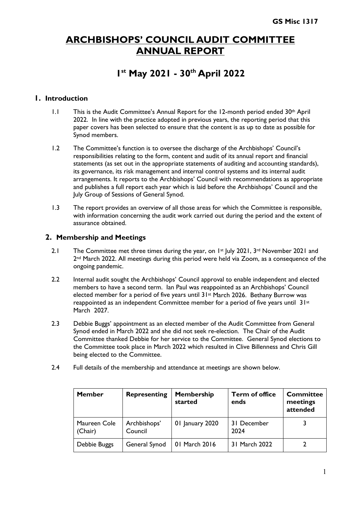## **ARCHBISHOPS' COUNCIL AUDIT COMMITTEE ANNUAL REPORT**

# **1st May 2021 - 30th April 2022**

### **1. Introduction**

- 1.1 This is the Audit Committee's Annual Report for the 12-month period ended 30<sup>th</sup> April 2022. In line with the practice adopted in previous years, the reporting period that this paper covers has been selected to ensure that the content is as up to date as possible for Synod members.
- 1.2 The Committee's function is to oversee the discharge of the Archbishops' Council's responsibilities relating to the form, content and audit of its annual report and financial statements (as set out in the appropriate statements of auditing and accounting standards), its governance, its risk management and internal control systems and its internal audit arrangements. It reports to the Archbishops' Council with recommendations as appropriate and publishes a full report each year which is laid before the Archbishops' Council and the July Group of Sessions of General Synod.
- 1.3 The report provides an overview of all those areas for which the Committee is responsible, with information concerning the audit work carried out during the period and the extent of assurance obtained.

#### **2. Membership and Meetings**

- 2.1 The Committee met three times during the year, on 1st July 2021, 3rd November 2021 and 2nd March 2022. All meetings during this period were held via Zoom, as a consequence of the ongoing pandemic.
- 2.2 Internal audit sought the Archbishops' Council approval to enable independent and elected members to have a second term. Ian Paul was reappointed as an Archbishops' Council elected member for a period of five years until 31st March 2026. Bethany Burrow was reappointed as an independent Committee member for a period of five years until 31st March 2027.
- 2.3 Debbie Buggs' appointment as an elected member of the Audit Committee from General Synod ended in March 2022 and she did not seek re-election. The Chair of the Audit Committee thanked Debbie for her service to the Committee. General Synod elections to the Committee took place in March 2022 which resulted in Clive Billenness and Chris Gill being elected to the Committee.
- 2.4 Full details of the membership and attendance at meetings are shown below.

| <b>Member</b>           | <b>Representing</b>     | <b>Membership</b><br>started | <b>Term of office</b><br>ends | <b>Committee</b><br>meetings<br>attended |
|-------------------------|-------------------------|------------------------------|-------------------------------|------------------------------------------|
| Maureen Cole<br>(Chair) | Archbishops'<br>Council | 01 January 2020              | 31 December<br>2024           |                                          |
| Debbie Buggs            | General Synod           | 01 March 2016                | 31 March 2022                 |                                          |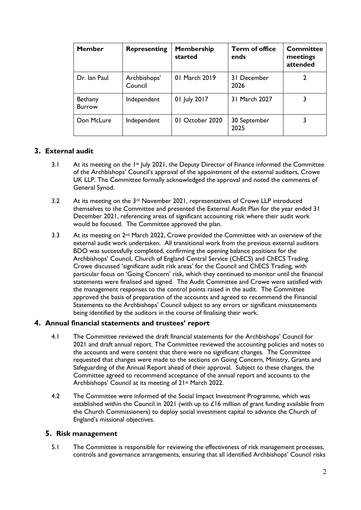| <b>Member</b>            | <b>Representing</b>     | <b>Membership</b><br>started | <b>Term of office</b><br>ends | Committee<br>meetings<br>attended |
|--------------------------|-------------------------|------------------------------|-------------------------------|-----------------------------------|
| Dr. Ian Paul             | Archbishops'<br>Council | 01 March 2019                | 31 December<br>2026           |                                   |
| Bethany<br><b>Burrow</b> | Independent             | 01 July 2017                 | 31 March 2027                 |                                   |
| Don McLure               | Independent             | 01 October 2020              | 30 September<br>2025          |                                   |

## **3. External audit**

- 3.1 At its meeting on the 1<sup>st</sup> July 2021, the Deputy Director of Finance informed the Committee of the Archbishops' Council's approval of the appointment of the external auditors, Crowe UK LLP. The Committee formally acknowledged the approval and noted the comments of General Synod.
- 3.2 At its meeting on the 3<sup>rd</sup> November 2021, representatives of Crowe LLP introduced themselves to the Committee and presented the External Audit Plan for the year ended 31 December 2021, referencing areas of significant accounting risk where their audit work would be focused. The Committee approved the plan.
- 3.3 At its meeting on 2<sup>nd</sup> March 2022, Crowe provided the Committee with an overview of the external audit work undertaken. All transitional work from the previous external auditors BDO was successfully completed, confirming the opening balance positions for the Archbishops' Council, Church of England Central Service (ChECS) and ChECS Trading. Crowe discussed 'significant audit risk areas' for the Council and ChECS Trading, with particular focus on 'Going Concern' risk, which they continued to monitor until the financial statements were finalised and signed. The Audit Committee and Crowe were satisfied with the management responses to the control points raised in the audit. The Committee approved the basis of preparation of the accounts and agreed to recommend the Financial Statements to the Archbishops' Council subject to any errors or significant misstatements being identified by the auditors in the course of finalising their work.

#### **4. Annual financial statements and trustees' report**

- 4.1 The Committee reviewed the draft financial statements for the Archbishops' Council for 2021 and draft annual report. The Committee reviewed the accounting policies and notes to the accounts and were content that there were no significant changes. The Committee requested that changes were made to the sections on Going Concern, Ministry, Grants and Safeguarding of the Annual Report ahead of their approval. Subject to these changes, the Committee agreed to recommend acceptance of the annual report and accounts to the Archbishops' Council at its meeting of 21st March 2022.
- 4.2 The Committee were informed of the Social Impact Investment Programme, which was established within the Council in 2021 (with up to £16 million of grant funding available from the Church Commissioners) to deploy social investment capital to advance the Church of England's missional objectives.

#### **5. Risk management**

5.1 The Committee is responsible for reviewing the effectiveness of risk management processes, controls and governance arrangements, ensuring that all identified Archbishops' Council risks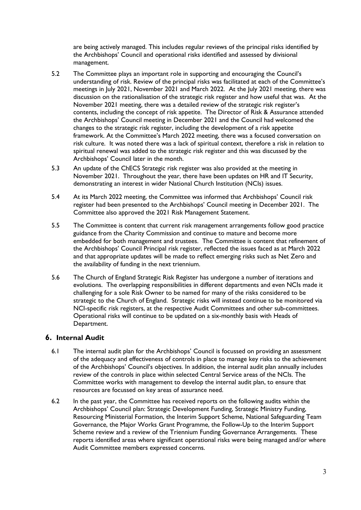are being actively managed. This includes regular reviews of the principal risks identified by the Archbishops' Council and operational risks identified and assessed by divisional management.

- 5.2 The Committee plays an important role in supporting and encouraging the Council's understanding of risk. Review of the principal risks was facilitated at each of the Committee's meetings in July 2021, November 2021 and March 2022. At the July 2021 meeting, there was discussion on the rationalisation of the strategic risk register and how useful that was. At the November 2021 meeting, there was a detailed review of the strategic risk register's contents, including the concept of risk appetite. The Director of Risk & Assurance attended the Archbishops' Council meeting in December 2021 and the Council had welcomed the changes to the strategic risk register, including the development of a risk appetite framework. At the Committee's March 2022 meeting, there was a focused conversation on risk culture. It was noted there was a lack of spiritual context, therefore a risk in relation to spiritual renewal was added to the strategic risk register and this was discussed by the Archbishops' Council later in the month.
- 5.3 An update of the ChECS Strategic risk register was also provided at the meeting in November 2021. Throughout the year, there have been updates on HR and IT Security, demonstrating an interest in wider National Church Institution (NCIs) issues.
- 5.4 At its March 2022 meeting, the Committee was informed that Archbishops' Council risk register had been presented to the Archbishops' Council meeting in December 2021. The Committee also approved the 2021 Risk Management Statement.
- 5.5 The Committee is content that current risk management arrangements follow good practice guidance from the Charity Commission and continue to mature and become more embedded for both management and trustees. The Committee is content that refinement of the Archbishops' Council Principal risk register, reflected the issues faced as at March 2022 and that appropriate updates will be made to reflect emerging risks such as Net Zero and the availability of funding in the next triennium.
- 5.6 The Church of England Strategic Risk Register has undergone a number of iterations and evolutions. The overlapping responsibilities in different departments and even NCIs made it challenging for a sole Risk Owner to be named for many of the risks considered to be strategic to the Church of England. Strategic risks will instead continue to be monitored via NCI-specific risk registers, at the respective Audit Committees and other sub-committees. Operational risks will continue to be updated on a six-monthly basis with Heads of Department.

## **6. Internal Audit**

- 6.1 The internal audit plan for the Archbishops' Council is focussed on providing an assessment of the adequacy and effectiveness of controls in place to manage key risks to the achievement of the Archbishops' Council's objectives. In addition, the internal audit plan annually includes review of the controls in place within selected Central Service areas of the NCIs. The Committee works with management to develop the internal audit plan, to ensure that resources are focussed on key areas of assurance need.
- 6.2 In the past year, the Committee has received reports on the following audits within the Archbishops' Council plan: Strategic Development Funding, Strategic Ministry Funding, Resourcing Ministerial Formation, the Interim Support Scheme, National Safeguarding Team Governance, the Major Works Grant Programme, the Follow-Up to the Interim Support Scheme review and a review of the Triennium Funding Governance Arrangements. These reports identified areas where significant operational risks were being managed and/or where Audit Committee members expressed concerns.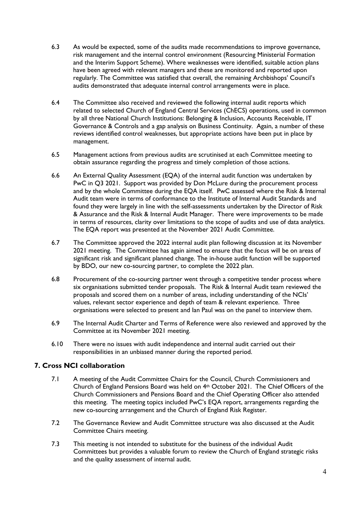- 6.3 As would be expected, some of the audits made recommendations to improve governance, risk management and the internal control environment (Resourcing Ministerial Formation and the Interim Support Scheme). Where weaknesses were identified, suitable action plans have been agreed with relevant managers and these are monitored and reported upon regularly. The Committee was satisfied that overall, the remaining Archbishops' Council's audits demonstrated that adequate internal control arrangements were in place.
- 6.4 The Committee also received and reviewed the following internal audit reports which related to selected Church of England Central Services (ChECS) operations, used in common by all three National Church Institutions: Belonging & Inclusion, Accounts Receivable, IT Governance & Controls and a gap analysis on Business Continuity. Again, a number of these reviews identified control weaknesses, but appropriate actions have been put in place by management.
- 6.5 Management actions from previous audits are scrutinised at each Committee meeting to obtain assurance regarding the progress and timely completion of those actions.
- 6.6 An External Quality Assessment (EQA) of the internal audit function was undertaken by PwC in Q3 2021. Support was provided by Don McLure during the procurement process and by the whole Committee during the EQA itself. PwC assessed where the Risk & Internal Audit team were in terms of conformance to the Institute of Internal Audit Standards and found they were largely in line with the self-assessments undertaken by the Director of Risk & Assurance and the Risk & Internal Audit Manager. There were improvements to be made in terms of resources, clarity over limitations to the scope of audits and use of data analytics. The EQA report was presented at the November 2021 Audit Committee.
- 6.7 The Committee approved the 2022 internal audit plan following discussion at its November 2021 meeting. The Committee has again aimed to ensure that the focus will be on areas of significant risk and significant planned change. The in-house audit function will be supported by BDO, our new co-sourcing partner, to complete the 2022 plan.
- 6.8 Procurement of the co-sourcing partner went through a competitive tender process where six organisations submitted tender proposals. The Risk & Internal Audit team reviewed the proposals and scored them on a number of areas, including understanding of the NCIs' values, relevant sector experience and depth of team & relevant experience. Three organisations were selected to present and Ian Paul was on the panel to interview them.
- 6.9 The Internal Audit Charter and Terms of Reference were also reviewed and approved by the Committee at its November 2021 meeting.
- 6.10 There were no issues with audit independence and internal audit carried out their responsibilities in an unbiased manner during the reported period.

## **7. Cross NCI collaboration**

- 7.1 A meeting of the Audit Committee Chairs for the Council, Church Commissioners and Church of England Pensions Board was held on 4th October 2021. The Chief Officers of the Church Commissioners and Pensions Board and the Chief Operating Officer also attended this meeting. The meeting topics included PwC's EQA report, arrangements regarding the new co-sourcing arrangement and the Church of England Risk Register.
- 7.2 The Governance Review and Audit Committee structure was also discussed at the Audit Committee Chairs meeting.
- 7.3 This meeting is not intended to substitute for the business of the individual Audit Committees but provides a valuable forum to review the Church of England strategic risks and the quality assessment of internal audit.